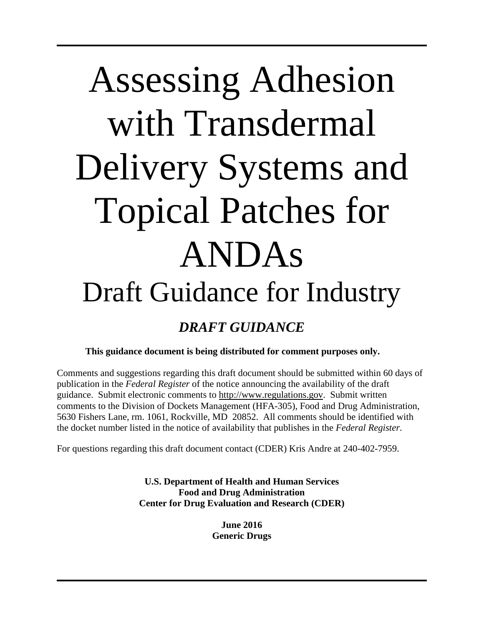# Assessing Adhesion with Transdermal Delivery Systems and Topical Patches for ANDAs Draft Guidance for Industry *DRAFT GUIDANCE*

**This guidance document is being distributed for comment purposes only.**

Comments and suggestions regarding this draft document should be submitted within 60 days of publication in the *Federal Register* of the notice announcing the availability of the draft guidance. Submit electronic comments to [http://www.regulations.gov.](http://www.regulations.gov/) Submit written comments to the Division of Dockets Management (HFA-305), Food and Drug Administration, 5630 Fishers Lane, rm. 1061, Rockville, MD 20852. All comments should be identified with the docket number listed in the notice of availability that publishes in the *Federal Register*.

For questions regarding this draft document contact (CDER) Kris Andre at 240-402-7959.

**U.S. Department of Health and Human Services Food and Drug Administration Center for Drug Evaluation and Research (CDER)**

> **June 2016 Generic Drugs**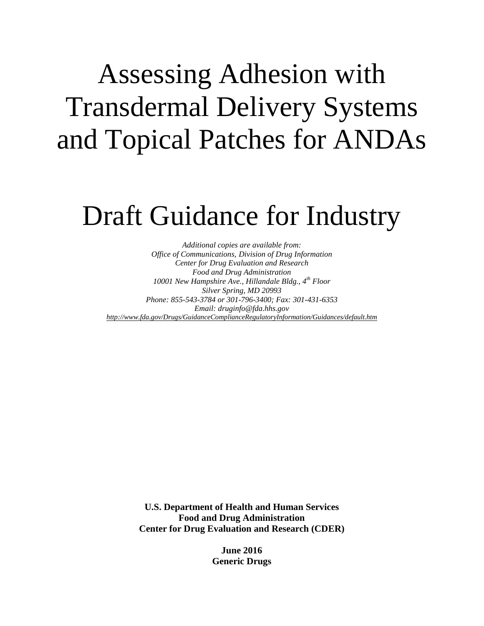## Assessing Adhesion with Transdermal Delivery Systems and Topical Patches for ANDAs

### Draft Guidance for Industry

*Additional copies are available from: Office of Communications, Division of Drug Information Center for Drug Evaluation and Research Food and Drug Administration 10001 New Hampshire Ave., Hillandale Bldg., 4th Floor Silver Spring, MD 20993 Phone: 855-543-3784 or 301-796-3400; Fax: 301-431-6353 Email: druginfo@fda.hhs.gov <http://www.fda.gov/Drugs/GuidanceComplianceRegulatoryInformation/Guidances/default.htm>*

> **U.S. Department of Health and Human Services Food and Drug Administration Center for Drug Evaluation and Research (CDER)**

> > **June 2016 Generic Drugs**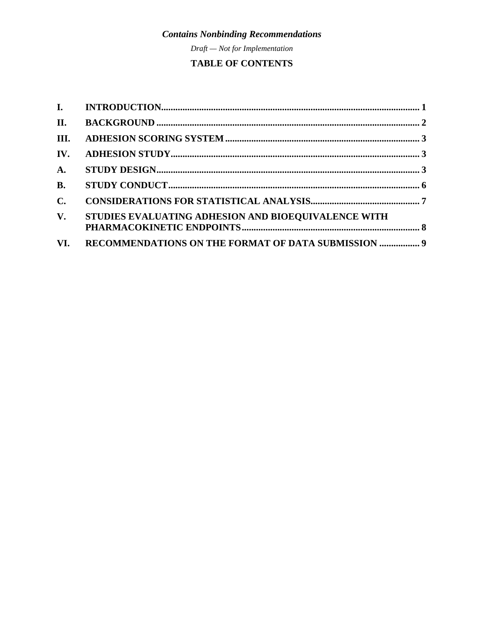Draft - Not for Implementation

#### **TABLE OF CONTENTS**

| III.                   |                                                         |  |
|------------------------|---------------------------------------------------------|--|
| IV.                    |                                                         |  |
| $\mathbf{A}$ .         |                                                         |  |
| <b>B.</b>              |                                                         |  |
| $C_{\bullet}$          |                                                         |  |
| $\mathbf{V}_{\bullet}$ | STUDIES EVALUATING ADHESION AND BIOEQUIVALENCE WITH     |  |
|                        | VI. RECOMMENDATIONS ON THE FORMAT OF DATA SUBMISSION  9 |  |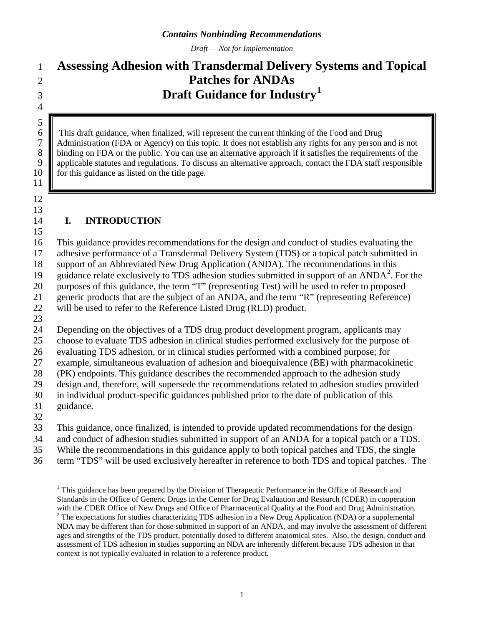*Draft — Not for Implementation*

### **Assessing Adhesion with Transdermal Delivery Systems and Topical Patches for ANDAs Draft Guidance for Industry[1](#page-3-0)**

6 This draft guidance, when finalized, will represent the current thinking of the Food and Drug Administration (FDA or Agency) on this topic. It does not establish any rights for any person 7 Administration (FDA or Agency) on this topic. It does not establish any rights for any person and is not binding on FDA or the public. You can use an alternative approach if it satisfies the requirements of the 8 binding on FDA or the public. You can use an alternative approach if it satisfies the requirements of the applicable statutes and regulations. To discuss an alternative approach, contact the FDA staff responsible applicable statutes and regulations. To discuss an alternative approach, contact the FDA staff responsible **for this guidance as listed on the title page.** 

 

 $\frac{5}{6}$ 

#### 

#### **I. INTRODUCTION**

This guidance provides recommendations for the design and conduct of studies evaluating the

adhesive performance of a Transdermal Delivery System (TDS) or a topical patch submitted in

support of an Abbreviated New Drug Application (ANDA). The recommendations in this

19 guidance relate exclusively to TDS adhesion studies submitted in support of an ANDA<sup>[2](#page-3-1)</sup>. For the

purposes of this guidance, the term "T" (representing Test) will be used to refer to proposed

 generic products that are the subject of an ANDA, and the term "R" (representing Reference) will be used to refer to the Reference Listed Drug (RLD) product.

 Depending on the objectives of a TDS drug product development program, applicants may choose to evaluate TDS adhesion in clinical studies performed exclusively for the purpose of evaluating TDS adhesion, or in clinical studies performed with a combined purpose; for example, simultaneous evaluation of adhesion and bioequivalence (BE) with pharmacokinetic (PK) endpoints. This guidance describes the recommended approach to the adhesion study design and, therefore, will supersede the recommendations related to adhesion studies provided

in individual product-specific guidances published prior to the date of publication of this

guidance.

This guidance, once finalized, is intended to provide updated recommendations for the design

and conduct of adhesion studies submitted in support of an ANDA for a topical patch or a TDS.

While the recommendations in this guidance apply to both topical patches and TDS, the single

<span id="page-3-0"></span>term "TDS" will be used exclusively hereafter in reference to both TDS and topical patches. The

<sup>&</sup>lt;sup>1</sup> This guidance has been prepared by the Division of Therapeutic Performance in the Office of Research and Standards in the Office of Generic Drugs in the Center for Drug Evaluation and Research (CDER) in cooperation with the CDER Office of New Drugs and Office of Pharmaceutical Quality at the Food and Drug Administration.

<span id="page-3-1"></span> The expectations for studies characterizing TDS adhesion in a New Drug Application (NDA) or a supplemental NDA may be different than for those submitted in support of an ANDA, and may involve the assessment of different ages and strengths of the TDS product, potentially dosed to different anatomical sites. Also, the design, conduct and assessment of TDS adhesion in studies supporting an NDA are inherently different because TDS adhesion in that context is not typically evaluated in relation to a reference product.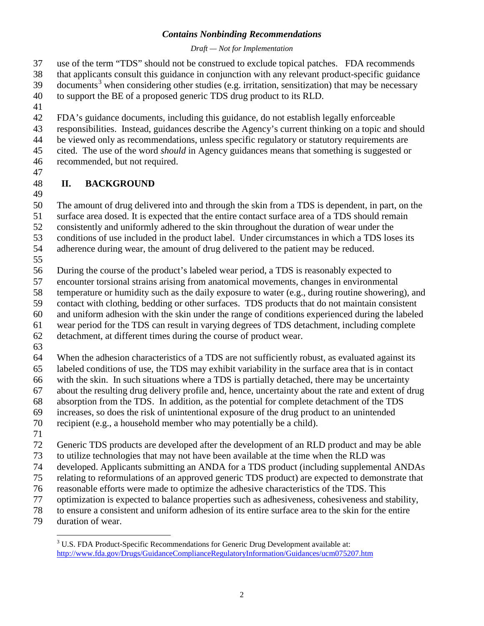#### *Draft — Not for Implementation*

use of the term "TDS" should not be construed to exclude topical patches. FDA recommends

that applicants consult this guidance in conjunction with any relevant product-specific guidance

 $39$  documents<sup>3</sup> when considering other studies (e.g. irritation, sensitization) that may be necessary

to support the BE of a proposed generic TDS drug product to its RLD.

FDA's guidance documents, including this guidance, do not establish legally enforceable

responsibilities. Instead, guidances describe the Agency's current thinking on a topic and should

be viewed only as recommendations, unless specific regulatory or statutory requirements are

cited. The use of the word *should* in Agency guidances means that something is suggested or

- recommended, but not required.
- 

#### **II. BACKGROUND**

The amount of drug delivered into and through the skin from a TDS is dependent, in part, on the

surface area dosed. It is expected that the entire contact surface area of a TDS should remain

consistently and uniformly adhered to the skin throughout the duration of wear under the

conditions of use included in the product label. Under circumstances in which a TDS loses its

adherence during wear, the amount of drug delivered to the patient may be reduced.

During the course of the product's labeled wear period, a TDS is reasonably expected to

encounter torsional strains arising from anatomical movements, changes in environmental

temperature or humidity such as the daily exposure to water (e.g., during routine showering), and

contact with clothing, bedding or other surfaces. TDS products that do not maintain consistent

and uniform adhesion with the skin under the range of conditions experienced during the labeled

wear period for the TDS can result in varying degrees of TDS detachment, including complete

detachment, at different times during the course of product wear.

When the adhesion characteristics of a TDS are not sufficiently robust, as evaluated against its

labeled conditions of use, the TDS may exhibit variability in the surface area that is in contact

with the skin. In such situations where a TDS is partially detached, there may be uncertainty

about the resulting drug delivery profile and, hence, uncertainty about the rate and extent of drug

 absorption from the TDS. In addition, as the potential for complete detachment of the TDS increases, so does the risk of unintentional exposure of the drug product to an unintended

recipient (e.g., a household member who may potentially be a child).

Generic TDS products are developed after the development of an RLD product and may be able

to utilize technologies that may not have been available at the time when the RLD was

developed. Applicants submitting an ANDA for a TDS product (including supplemental ANDAs

relating to reformulations of an approved generic TDS product) are expected to demonstrate that

reasonable efforts were made to optimize the adhesive characteristics of the TDS. This

optimization is expected to balance properties such as adhesiveness, cohesiveness and stability,

to ensure a consistent and uniform adhesion of its entire surface area to the skin for the entire

<span id="page-4-0"></span>duration of wear.

<sup>&</sup>lt;sup>3</sup> U.S. FDA Product-Specific Recommendations for Generic Drug Development available at: <http://www.fda.gov/Drugs/GuidanceComplianceRegulatoryInformation/Guidances/ucm075207.htm>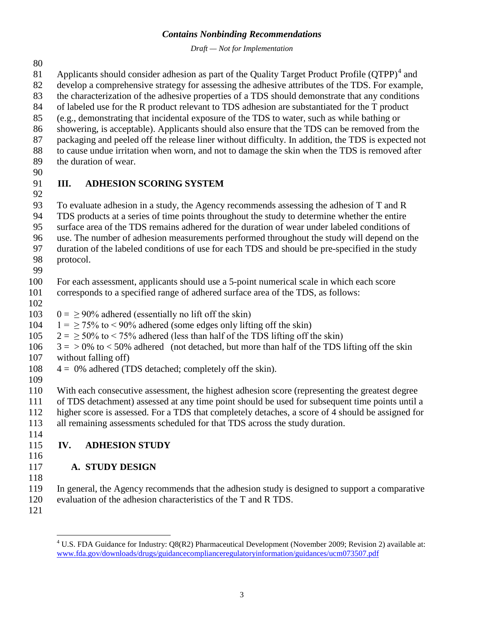*Draft — Not for Implementation*

81 Applicants should consider adhesion as part of the Quality Target Product Profile  $(QTPP)^4$  $(QTPP)^4$  and

develop a comprehensive strategy for assessing the adhesive attributes of the TDS. For example,

the characterization of the adhesive properties of a TDS should demonstrate that any conditions

of labeled use for the R product relevant to TDS adhesion are substantiated for the T product

- (e.g., demonstrating that incidental exposure of the TDS to water, such as while bathing or showering, is acceptable). Applicants should also ensure that the TDS can be removed from the
- packaging and peeled off the release liner without difficulty. In addition, the TDS is expected not
- to cause undue irritation when worn, and not to damage the skin when the TDS is removed after
- the duration of wear.
- 

#### **III. ADHESION SCORING SYSTEM**

To evaluate adhesion in a study, the Agency recommends assessing the adhesion of T and R

TDS products at a series of time points throughout the study to determine whether the entire

surface area of the TDS remains adhered for the duration of wear under labeled conditions of

use. The number of adhesion measurements performed throughout the study will depend on the

- duration of the labeled conditions of use for each TDS and should be pre-specified in the study
- protocol.
- 

For each assessment, applicants should use a 5-point numerical scale in which each score

- corresponds to a specified range of adhered surface area of the TDS, as follows:
- 
- 103  $0 = 90\%$  adhered (essentially no lift off the skin)
- 104  $1 = \frac{1}{2}$  75% to <90% adhered (some edges only lifting off the skin)
- 105  $2 = \ge 50\%$  to  $\lt 75\%$  adhered (less than half of the TDS lifting off the skin)
- $106 \quad 3 = 9\%$  to  $\lt 50\%$  adhered (not detached, but more than half of the TDS lifting off the skin without falling off)
- $108 \t 4 = 0\%$  adhered (TDS detached; completely off the skin).
- 
- With each consecutive assessment, the highest adhesion score (representing the greatest degree

 of TDS detachment) assessed at any time point should be used for subsequent time points until a higher score is assessed. For a TDS that completely detaches, a score of 4 should be assigned for

all remaining assessments scheduled for that TDS across the study duration.

#### **IV. ADHESION STUDY**

#### **A. STUDY DESIGN**

- In general, the Agency recommends that the adhesion study is designed to support a comparative evaluation of the adhesion characteristics of the T and R TDS.
- <span id="page-5-0"></span>

<sup>&</sup>lt;sup>4</sup> U.S. FDA Guidance for Industry: Q8(R2) Pharmaceutical Development (November 2009; Revision 2) available at: [www.fda.gov/downloads/drugs/guidancecomplianceregulatoryinformation/guidances/ucm073507.pdf](http://www.fda.gov/downloads/drugs/guidancecomplianceregulatoryinformation/guidances/ucm073507.pdf)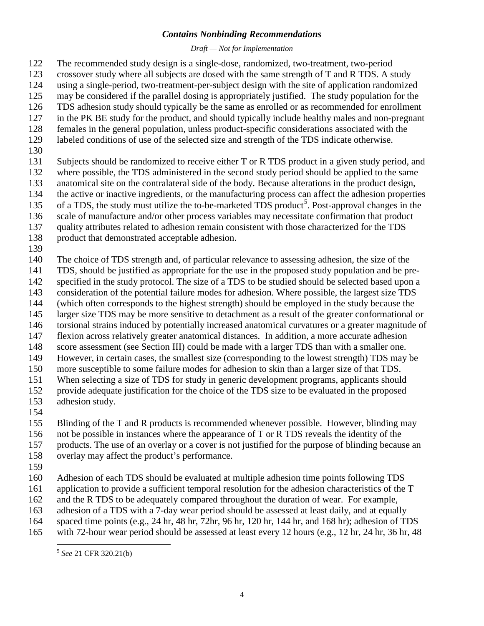#### *Draft — Not for Implementation*

The recommended study design is a single-dose, randomized, two-treatment, two-period

- crossover study where all subjects are dosed with the same strength of T and R TDS. A study
- using a single-period, two-treatment-per-subject design with the site of application randomized
- may be considered if the parallel dosing is appropriately justified. The study population for the
- TDS adhesion study should typically be the same as enrolled or as recommended for enrollment
- in the PK BE study for the product, and should typically include healthy males and non-pregnant females in the general population, unless product-specific considerations associated with the
- labeled conditions of use of the selected size and strength of the TDS indicate otherwise.
- 
- Subjects should be randomized to receive either T or R TDS product in a given study period, and where possible, the TDS administered in the second study period should be applied to the same anatomical site on the contralateral side of the body. Because alterations in the product design, the active or inactive ingredients, or the manufacturing process can affect the adhesion properties
- [5](#page-6-0) of a TDS, the study must utilize the to-be-marketed TDS product<sup>5</sup>. Post-approval changes in the
- scale of manufacture and/or other process variables may necessitate confirmation that product
- quality attributes related to adhesion remain consistent with those characterized for the TDS
- product that demonstrated acceptable adhesion.
- 
- The choice of TDS strength and, of particular relevance to assessing adhesion, the size of the
- TDS, should be justified as appropriate for the use in the proposed study population and be pre-
- specified in the study protocol. The size of a TDS to be studied should be selected based upon a
- consideration of the potential failure modes for adhesion. Where possible, the largest size TDS
- (which often corresponds to the highest strength) should be employed in the study because the
- larger size TDS may be more sensitive to detachment as a result of the greater conformational or
- torsional strains induced by potentially increased anatomical curvatures or a greater magnitude of flexion across relatively greater anatomical distances. In addition, a more accurate adhesion
- score assessment (see Section III) could be made with a larger TDS than with a smaller one.
- However, in certain cases, the smallest size (corresponding to the lowest strength) TDS may be
- more susceptible to some failure modes for adhesion to skin than a larger size of that TDS.
- When selecting a size of TDS for study in generic development programs, applicants should
- provide adequate justification for the choice of the TDS size to be evaluated in the proposed
- adhesion study.
- 
- Blinding of the T and R products is recommended whenever possible. However, blinding may
- not be possible in instances where the appearance of T or R TDS reveals the identity of the
- products. The use of an overlay or a cover is not justified for the purpose of blinding because an
- overlay may affect the product's performance.
- 
- Adhesion of each TDS should be evaluated at multiple adhesion time points following TDS
- application to provide a sufficient temporal resolution for the adhesion characteristics of the T
- and the R TDS to be adequately compared throughout the duration of wear. For example,
- adhesion of a TDS with a 7-day wear period should be assessed at least daily, and at equally
- spaced time points (e.g., 24 hr, 48 hr, 72hr, 96 hr, 120 hr, 144 hr, and 168 hr); adhesion of TDS

<span id="page-6-0"></span>with 72-hour wear period should be assessed at least every 12 hours (e.g., 12 hr, 24 hr, 36 hr, 48

*See* 21 CFR 320.21(b)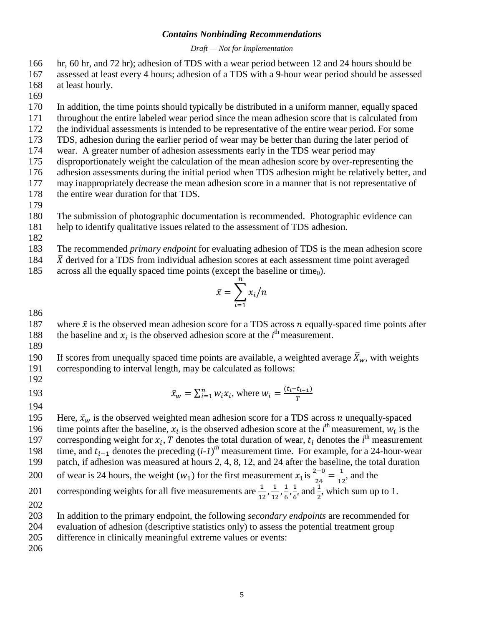*Draft — Not for Implementation*

166 hr, 60 hr, and 72 hr); adhesion of TDS with a wear period between 12 and 24 hours should be

167 assessed at least every 4 hours; adhesion of a TDS with a 9-hour wear period should be assessed 168 at least hourly.

169

170 In addition, the time points should typically be distributed in a uniform manner, equally spaced

- 171 throughout the entire labeled wear period since the mean adhesion score that is calculated from
- 172 the individual assessments is intended to be representative of the entire wear period. For some 173 TDS, adhesion during the earlier period of wear may be better than during the later period of
- 174 wear. A greater number of adhesion assessments early in the TDS wear period may
- 175 disproportionately weight the calculation of the mean adhesion score by over-representing the
- 176 adhesion assessments during the initial period when TDS adhesion might be relatively better, and
- 177 may inappropriately decrease the mean adhesion score in a manner that is not representative of
- 178 the entire wear duration for that TDS.
- 179

180 The submission of photographic documentation is recommended. Photographic evidence can

181 help to identify qualitative issues related to the assessment of TDS adhesion.

182

183 The recommended *primary endpoint* for evaluating adhesion of TDS is the mean adhesion score

- 184  $\bar{X}$  derived for a TDS from individual adhesion scores at each assessment time point averaged across all the equally spaced time points (except the baseline or time<sub>0</sub>).
- across all the equally spaced time points (except the baseline or time<sub>0</sub>).

$$
\bar{x} = \sum_{i=1}^n x_i / n
$$

186

- 187 where  $\bar{x}$  is the observed mean adhesion score for a TDS across *n* equally-spaced time points after the baseline and  $x_i$  is the observed adhesion score at the *i*<sup>th</sup> measurement. 188 the baseline and  $x_i$  is the observed adhesion score at the  $i<sup>th</sup>$  measurement.
- 189

190 If scores from unequally spaced time points are available, a weighted average  $\bar{X}_w$ , with weights corresponding to interval length, may be calculated as follows: corresponding to interval length, may be calculated as follows:

192

 $\bar{x}_w = \sum_{i=1}^n w_i x_i$ , where  $w_i = \frac{(t_i - t_{i-1})}{T}$ 

193 194

195 Here,  $\bar{x}_w$  is the observed weighted mean adhesion score for a TDS across *n* unequally-spaced 196 time points after the baseline,  $x_i$  is the observed adhesion score at the  $i^{\text{th}}$  measurement,  $w_i$  is the 197 corresponding weight for  $x_i$ , T denotes the total duration of wear,  $t_i$  denotes the *i*<sup>th</sup> measurement time, and  $t_{i-1}$  denotes the preceding  $(i-1)^{th}$  measurement time. For example, for a 24-hour-wear 199 patch, if adhesion was measured at hours 2, 4, 8, 12, and 24 after the baseline, the total duration 200 of wear is 24 hours, the weight  $(w_1)$  for the first measurement  $x_1$  is  $\frac{2-0}{24} = \frac{1}{12}$ , and the corresponding weights for all five measurements are  $\frac{1}{12}$ ,  $\frac{1}{12}$ ,  $\frac{1}{6}$ ,  $\frac{1}{6}$ , and  $\frac{1}{2}$ , which 201 corresponding weights for all five measurements are  $\frac{1}{12}, \frac{1}{12}, \frac{1}{6}, \frac{1}{6}$  and  $\frac{1}{2}$ , which sum up to 1. 202 203 In addition to the primary endpoint, the following *secondary endpoints* are recommended for 204 evaluation of adhesion (descriptive statistics only) to assess the potential treatment group

205 difference in clinically meaningful extreme values or events:

206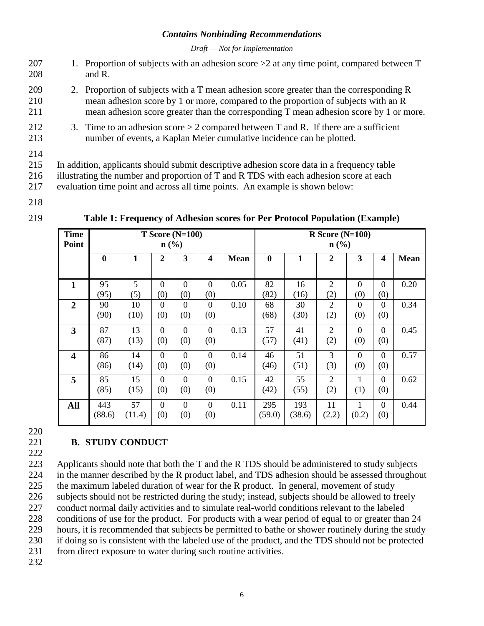*Draft — Not for Implementation*

- 207 1. Proportion of subjects with an adhesion score  $>$ 2 at any time point, compared between T 208 and R.
- 209 2. Proportion of subjects with a T mean adhesion score greater than the corresponding R 210 mean adhesion score by 1 or more, compared to the proportion of subjects with an R 211 mean adhesion score greater than the corresponding T mean adhesion score by 1 or more.
- 212 3. Time to an adhesion score  $> 2$  compared between T and R. If there are a sufficient 213 number of events, a Kaplan Meier cumulative incidence can be plotted.
- 214

215 In addition, applicants should submit descriptive adhesion score data in a frequency table

216 illustrating the number and proportion of T and R TDS with each adhesion score at each

217 evaluation time point and across all time points. An example is shown below:

218

| <b>Time</b><br>Point    | $T$ Score (N=100)<br>$n\left(\frac{0}{0}\right)$ |        |                |                |                         | $R$ Score (N=100)<br>$\mathbf{n}(\%)$ |          |        |                |                |                         |      |
|-------------------------|--------------------------------------------------|--------|----------------|----------------|-------------------------|---------------------------------------|----------|--------|----------------|----------------|-------------------------|------|
|                         | $\bf{0}$                                         | 1      | $\overline{2}$ | 3              | $\overline{\mathbf{4}}$ | <b>Mean</b>                           | $\bf{0}$ | 1      | $\overline{2}$ | 3              | $\overline{\mathbf{4}}$ | Mean |
|                         |                                                  |        |                |                |                         |                                       |          |        |                |                |                         |      |
| 1                       | 95                                               | 5      | $\Omega$       | $\Omega$       | $\Omega$                | 0.05                                  | 82       | 16     | $\overline{2}$ | $\Omega$       | $\overline{0}$          | 0.20 |
|                         | (95)                                             | (5)    | (0)            | (0)            | (0)                     |                                       | (82)     | (16)   | (2)            | (0)            | (0)                     |      |
| $\overline{2}$          | 90                                               | 10     | $\Omega$       | $\theta$       | $\Omega$                | 0.10                                  | 68       | 30     | $\overline{2}$ | $\Omega$       | $\Omega$                | 0.34 |
|                         | (90)                                             | (10)   | (0)            | (0)            | (0)                     |                                       | (68)     | (30)   | (2)            | (0)            | (0)                     |      |
| 3                       | 87                                               | 13     | $\Omega$       | $\overline{0}$ | $\overline{0}$          | 0.13                                  | 57       | 41     | $\overline{2}$ | $\overline{0}$ | $\overline{0}$          | 0.45 |
|                         | (87)                                             | (13)   | (0)            | (0)            | (0)                     |                                       | (57)     | (41)   | (2)            | (0)            | (0)                     |      |
| $\overline{\mathbf{4}}$ | 86                                               | 14     | $\Omega$       | $\theta$       | $\overline{0}$          | 0.14                                  | 46       | 51     | 3              | $\Omega$       | $\overline{0}$          | 0.57 |
|                         | (86)                                             | (14)   | (0)            | (0)            | (0)                     |                                       | (46)     | (51)   | (3)            | (0)            | (0)                     |      |
| 5                       | 85                                               | 15     | $\Omega$       | $\overline{0}$ | $\overline{0}$          | 0.15                                  | 42       | 55     | $\overline{2}$ |                | $\overline{0}$          | 0.62 |
|                         | (85)                                             | (15)   | (0)            | (0)            | (0)                     |                                       | (42)     | (55)   | (2)            | (1)            | (0)                     |      |
| All                     | 443                                              | 57     | $\Omega$       | $\theta$       | $\overline{0}$          | 0.11                                  | 295      | 193    | 11             |                | $\overline{0}$          | 0.44 |
|                         | (88.6)                                           | (11.4) | (0)            | (0)            | (0)                     |                                       | (59.0)   | (38.6) | (2.2)          | (0.2)          | (0)                     |      |

#### **Table 1: Frequency of Adhesion scores for Per Protocol Population (Example)**

220

222

#### 221 **B. STUDY CONDUCT**

 Applicants should note that both the T and the R TDS should be administered to study subjects in the manner described by the R product label, and TDS adhesion should be assessed throughout the maximum labeled duration of wear for the R product. In general, movement of study subjects should not be restricted during the study; instead, subjects should be allowed to freely conduct normal daily activities and to simulate real-world conditions relevant to the labeled conditions of use for the product. For products with a wear period of equal to or greater than 24 hours, it is recommended that subjects be permitted to bathe or shower routinely during the study if doing so is consistent with the labeled use of the product, and the TDS should not be protected 231 from direct exposure to water during such routine activities.

232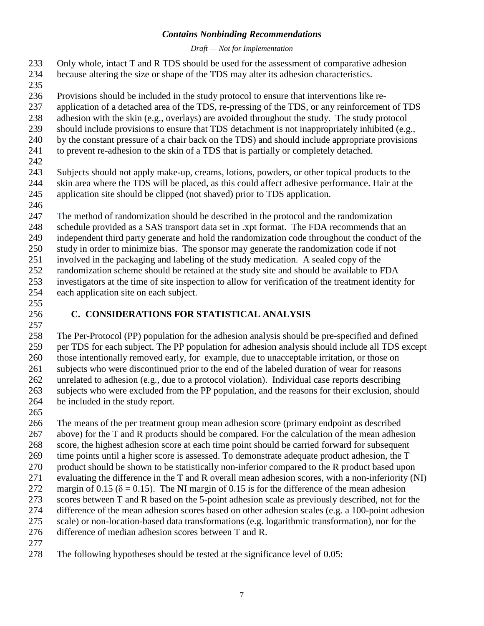*Draft — Not for Implementation*

- Only whole, intact T and R TDS should be used for the assessment of comparative adhesion
- because altering the size or shape of the TDS may alter its adhesion characteristics.
- 
- Provisions should be included in the study protocol to ensure that interventions like re-
- application of a detached area of the TDS, re-pressing of the TDS, or any reinforcement of TDS
- adhesion with the skin (e.g., overlays) are avoided throughout the study. The study protocol
- should include provisions to ensure that TDS detachment is not inappropriately inhibited (e.g.,
- by the constant pressure of a chair back on the TDS) and should include appropriate provisions to prevent re-adhesion to the skin of a TDS that is partially or completely detached.
- 
- Subjects should not apply make-up, creams, lotions, powders, or other topical products to the skin area where the TDS will be placed, as this could affect adhesive performance. Hair at the application site should be clipped (not shaved) prior to TDS application.
- 

 The method of randomization should be described in the protocol and the randomization schedule provided as a SAS transport data set in .xpt format. The FDA recommends that an independent third party generate and hold the randomization code throughout the conduct of the

study in order to minimize bias. The sponsor may generate the randomization code if not

 involved in the packaging and labeling of the study medication. A sealed copy of the randomization scheme should be retained at the study site and should be available to FDA

 investigators at the time of site inspection to allow for verification of the treatment identity for each application site on each subject.

### **C. CONSIDERATIONS FOR STATISTICAL ANALYSIS**

- The Per-Protocol (PP) population for the adhesion analysis should be pre-specified and defined per TDS for each subject. The PP population for adhesion analysis should include all TDS except those intentionally removed early, for example, due to unacceptable irritation, or those on subjects who were discontinued prior to the end of the labeled duration of wear for reasons unrelated to adhesion (e.g., due to a protocol violation). Individual case reports describing subjects who were excluded from the PP population, and the reasons for their exclusion, should be included in the study report.
- 

 The means of the per treatment group mean adhesion score (primary endpoint as described above) for the T and R products should be compared. For the calculation of the mean adhesion score, the highest adhesion score at each time point should be carried forward for subsequent time points until a higher score is assessed. To demonstrate adequate product adhesion, the T product should be shown to be statistically non-inferior compared to the R product based upon evaluating the difference in the T and R overall mean adhesion scores, with a non-inferiority (NI) 272 margin of 0.15 ( $\delta$  = 0.15). The NI margin of 0.15 is for the difference of the mean adhesion scores between T and R based on the 5-point adhesion scale as previously described, not for the difference of the mean adhesion scores based on other adhesion scales (e.g. a 100-point adhesion scale) or non-location-based data transformations (e.g. logarithmic transformation), nor for the difference of median adhesion scores between T and R.

The following hypotheses should be tested at the significance level of 0.05: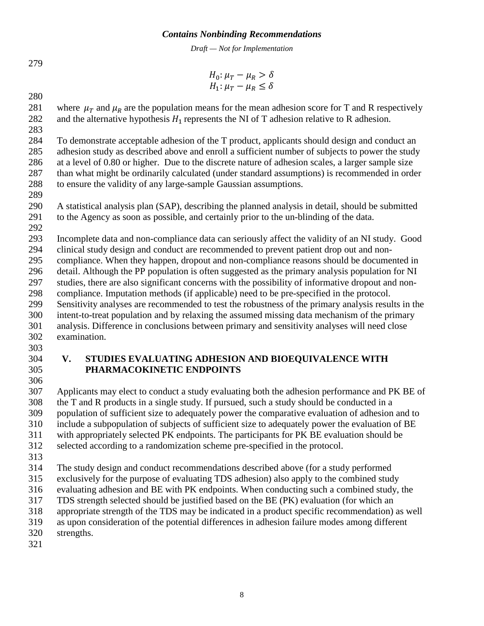*Draft — Not for Implementation*

$$
H_0: \mu_T - \mu_R > \delta
$$
  

$$
H_1: \mu_T - \mu_R \le \delta
$$

281 where  $\mu_T$  and  $\mu_R$  are the population means for the mean adhesion score for T and R respectively<br>282 and the alternative hypothesis  $H_1$  represents the NI of T adhesion relative to R adhesion. and the alternative hypothesis  $H_1$  represents the NI of T adhesion relative to R adhesion.

 To demonstrate acceptable adhesion of the T product, applicants should design and conduct an adhesion study as described above and enroll a sufficient number of subjects to power the study at a level of 0.80 or higher. Due to the discrete nature of adhesion scales, a larger sample size than what might be ordinarily calculated (under standard assumptions) is recommended in order to ensure the validity of any large-sample Gaussian assumptions.

 A statistical analysis plan (SAP), describing the planned analysis in detail, should be submitted to the Agency as soon as possible, and certainly prior to the un-blinding of the data.

Incomplete data and non-compliance data can seriously affect the validity of an NI study. Good

clinical study design and conduct are recommended to prevent patient drop out and non-

 compliance. When they happen, dropout and non-compliance reasons should be documented in detail. Although the PP population is often suggested as the primary analysis population for NI

studies, there are also significant concerns with the possibility of informative dropout and non-

compliance. Imputation methods (if applicable) need to be pre-specified in the protocol.

 Sensitivity analyses are recommended to test the robustness of the primary analysis results in the intent-to-treat population and by relaxing the assumed missing data mechanism of the primary analysis. Difference in conclusions between primary and sensitivity analyses will need close examination.

#### **V. STUDIES EVALUATING ADHESION AND BIOEQUIVALENCE WITH PHARMACOKINETIC ENDPOINTS**

 Applicants may elect to conduct a study evaluating both the adhesion performance and PK BE of the T and R products in a single study. If pursued, such a study should be conducted in a population of sufficient size to adequately power the comparative evaluation of adhesion and to include a subpopulation of subjects of sufficient size to adequately power the evaluation of BE with appropriately selected PK endpoints. The participants for PK BE evaluation should be selected according to a randomization scheme pre-specified in the protocol.

The study design and conduct recommendations described above (for a study performed

exclusively for the purpose of evaluating TDS adhesion) also apply to the combined study

 evaluating adhesion and BE with PK endpoints. When conducting such a combined study, the TDS strength selected should be justified based on the BE (PK) evaluation (for which an

appropriate strength of the TDS may be indicated in a product specific recommendation) as well

as upon consideration of the potential differences in adhesion failure modes among different

strengths.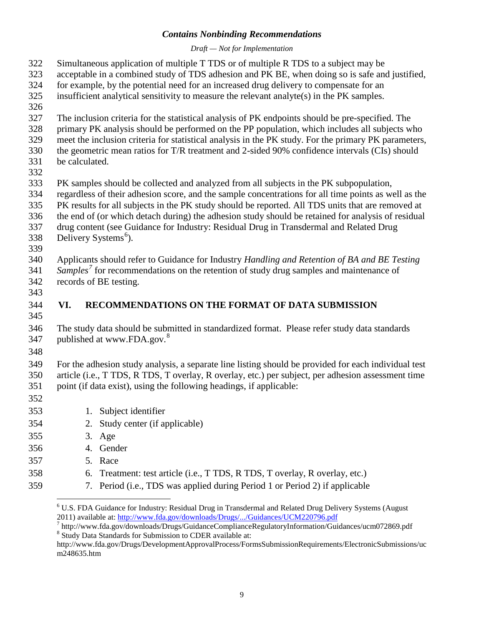*Draft — Not for Implementation*

| 322<br>323<br>324<br>325<br>326               | Simultaneous application of multiple T TDS or of multiple R TDS to a subject may be<br>acceptable in a combined study of TDS adhesion and PK BE, when doing so is safe and justified,<br>for example, by the potential need for an increased drug delivery to compensate for an<br>insufficient analytical sensitivity to measure the relevant analyte(s) in the PK samples.                                                                                                                                                            |                                                                                                                                                                                                                                                                                   |  |  |  |  |  |  |
|-----------------------------------------------|-----------------------------------------------------------------------------------------------------------------------------------------------------------------------------------------------------------------------------------------------------------------------------------------------------------------------------------------------------------------------------------------------------------------------------------------------------------------------------------------------------------------------------------------|-----------------------------------------------------------------------------------------------------------------------------------------------------------------------------------------------------------------------------------------------------------------------------------|--|--|--|--|--|--|
| 327<br>328<br>329<br>330<br>331<br>332        | The inclusion criteria for the statistical analysis of PK endpoints should be pre-specified. The<br>primary PK analysis should be performed on the PP population, which includes all subjects who<br>meet the inclusion criteria for statistical analysis in the PK study. For the primary PK parameters,<br>the geometric mean ratios for T/R treatment and 2-sided 90% confidence intervals (CIs) should<br>be calculated.                                                                                                            |                                                                                                                                                                                                                                                                                   |  |  |  |  |  |  |
| 333<br>334<br>335<br>336<br>337<br>338<br>339 | PK samples should be collected and analyzed from all subjects in the PK subpopulation,<br>regardless of their adhesion score, and the sample concentrations for all time points as well as the<br>PK results for all subjects in the PK study should be reported. All TDS units that are removed at<br>the end of (or which detach during) the adhesion study should be retained for analysis of residual<br>drug content (see Guidance for Industry: Residual Drug in Transdermal and Related Drug<br>Delivery Systems <sup>6</sup> ). |                                                                                                                                                                                                                                                                                   |  |  |  |  |  |  |
| 340<br>341<br>342<br>343                      |                                                                                                                                                                                                                                                                                                                                                                                                                                                                                                                                         | Applicants should refer to Guidance for Industry Handling and Retention of BA and BE Testing<br>Samples <sup>7</sup> for recommendations on the retention of study drug samples and maintenance of<br>records of BE testing.                                                      |  |  |  |  |  |  |
| 344<br>345                                    | VI.                                                                                                                                                                                                                                                                                                                                                                                                                                                                                                                                     | RECOMMENDATIONS ON THE FORMAT OF DATA SUBMISSION                                                                                                                                                                                                                                  |  |  |  |  |  |  |
| 346<br>347<br>348                             |                                                                                                                                                                                                                                                                                                                                                                                                                                                                                                                                         | The study data should be submitted in standardized format. Please refer study data standards<br>published at www.FDA.gov. <sup>8</sup>                                                                                                                                            |  |  |  |  |  |  |
| 349<br>350<br>351<br>352                      |                                                                                                                                                                                                                                                                                                                                                                                                                                                                                                                                         | For the adhesion study analysis, a separate line listing should be provided for each individual test<br>article (i.e., T TDS, R TDS, T overlay, R overlay, etc.) per subject, per adhesion assessment time<br>point (if data exist), using the following headings, if applicable: |  |  |  |  |  |  |
| 353                                           |                                                                                                                                                                                                                                                                                                                                                                                                                                                                                                                                         | 1. Subject identifier                                                                                                                                                                                                                                                             |  |  |  |  |  |  |
| 354                                           | 2.                                                                                                                                                                                                                                                                                                                                                                                                                                                                                                                                      | Study center (if applicable)                                                                                                                                                                                                                                                      |  |  |  |  |  |  |
| 355                                           |                                                                                                                                                                                                                                                                                                                                                                                                                                                                                                                                         | 3. Age                                                                                                                                                                                                                                                                            |  |  |  |  |  |  |
| 356                                           |                                                                                                                                                                                                                                                                                                                                                                                                                                                                                                                                         | 4. Gender                                                                                                                                                                                                                                                                         |  |  |  |  |  |  |
| 357                                           |                                                                                                                                                                                                                                                                                                                                                                                                                                                                                                                                         | 5. Race                                                                                                                                                                                                                                                                           |  |  |  |  |  |  |
| 358                                           | 6.                                                                                                                                                                                                                                                                                                                                                                                                                                                                                                                                      | Treatment: test article (i.e., T TDS, R TDS, T overlay, R overlay, etc.)                                                                                                                                                                                                          |  |  |  |  |  |  |
| 359                                           | 7.                                                                                                                                                                                                                                                                                                                                                                                                                                                                                                                                      | Period (i.e., TDS was applied during Period 1 or Period 2) if applicable                                                                                                                                                                                                          |  |  |  |  |  |  |

<span id="page-11-0"></span>U.S. FDA Guidance for Industry: Residual Drug in Transdermal and Related Drug Delivery Systems (August

<span id="page-11-1"></span><sup>2011)</sup> available at:<http://www.fda.gov/downloads/Drugs/.../Guidances/UCM220796.pdf><br>
<sup>7</sup> http://www.fda.gov/downloads/Drugs/.../Guidances/UCM220796.pdf<br>
<sup>7</sup> http://www.fda.gov/downloads/Drugs/GuidanceComplianceRegulatoryInf

<span id="page-11-2"></span>http://www.fda.gov/Drugs/DevelopmentApprovalProcess/FormsSubmissionRequirements/ElectronicSubmissions/uc m248635.htm